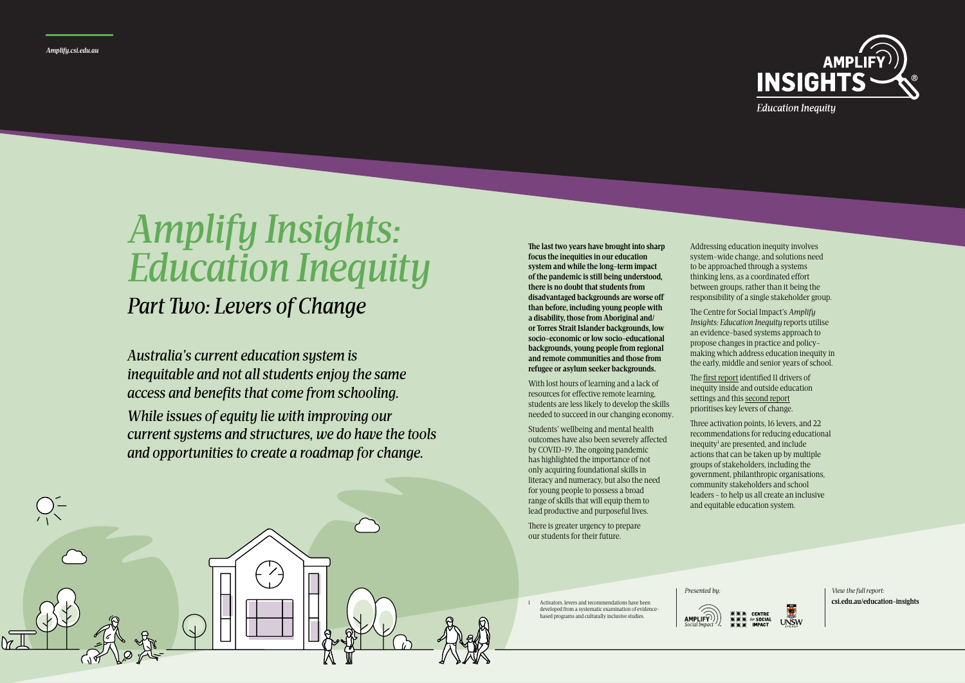**The last two years have brought into sharp focus the inequities in our education system and while the long-term impact of the pandemic is still being understood, there is no doubt that students from disadvantaged backgrounds are worse off than before, including young people with a disability, those from Aboriginal and/ or Torres Strait Islander backgrounds, low socio-economic or low socio-educational backgrounds, young people from regional and remote communities and those from refugee or asylum seeker backgrounds.**

With lost hours of learning and a lack of resources for effective remote learning, students are less likely to develop the skills needed to succeed in our changing economy.

Students' wellbeing and mental health outcomes have also been severely affected by COVID-19. The ongoing pandemic has highlighted the importance of not only acquiring foundational skills in literacy and numeracy, but also the need for young people to possess a broad range of skills that will equip them to lead productive and purposeful lives.

There is greater urgency to prepare our students for their future.

Addressing education inequity involves system-wide change, and solutions need to be approached through a systems thinking lens, as a coordinated effort between groups, rather than it being the responsibility of a single stakeholder group.

*Presented by: View the full report:* **csi.edu.au/education-insights**

The Centre for Social Impact's *Amplify Insights: Education Inequity* reports utilise an evidence-based systems approach to propose changes in practice and policymaking which address education inequity in the early, middle and senior years of school.



The [first report](https://www.csi.edu.au/education-insights) identified 11 drivers of inequity inside and outside education settings and this [second report](https://www.csi.edu.au/education-insights) prioritises key levers of change.

Three activation points, 16 levers, and 22 recommendations for reducing educational inequity<sup>1</sup> are presented, and include actions that can be taken up by multiple groups of stakeholders, including the government, philanthropic organisations, community stakeholders and school leaders - to help us all create an inclusive and equitable education system.



1 Activators, levers and recommendations have been developed from a systematic examination of evidencebased programs and culturally inclusive studies.



**Education Inequity** 

*Australia's current education system is inequitable and not all students enjoy the same access and benefits that come from schooling.* 

*While issues of equity lie with improving our current systems and structures, we do have the tools and opportunities to create a roadmap for change.*

# *Amplify Insights: Education Inequity*

## *Part Two: Levers of Change*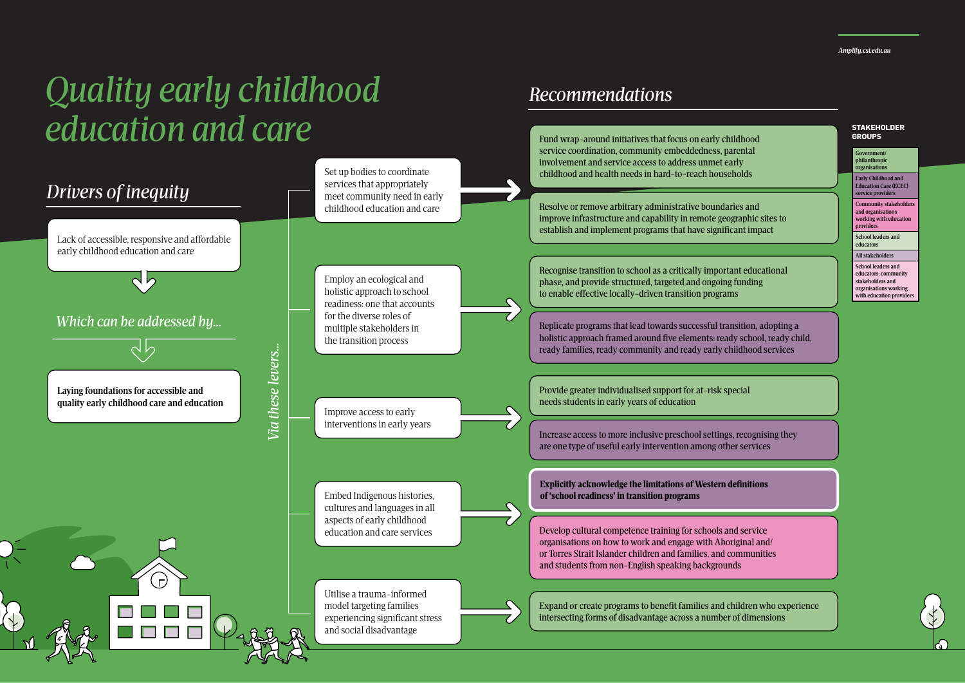*Amplify.csi.edu.au*

# *Quality early childhood education and care*

*Recommendations*

## Fund wrap-around initiatives that focus on early childhood service coordination, community embeddedness, parental



### **STAKEHOLDER GROUPS**

**Government/ philanthropic organisations**

**Early Childhood and Education Care (ECEC) service providers**

**Community stakeholders and organisations working with education providers**

**School leaders and educators**

**All stakeholders** 

**School leaders and educators; community stakeholders and organisations working with education providers**

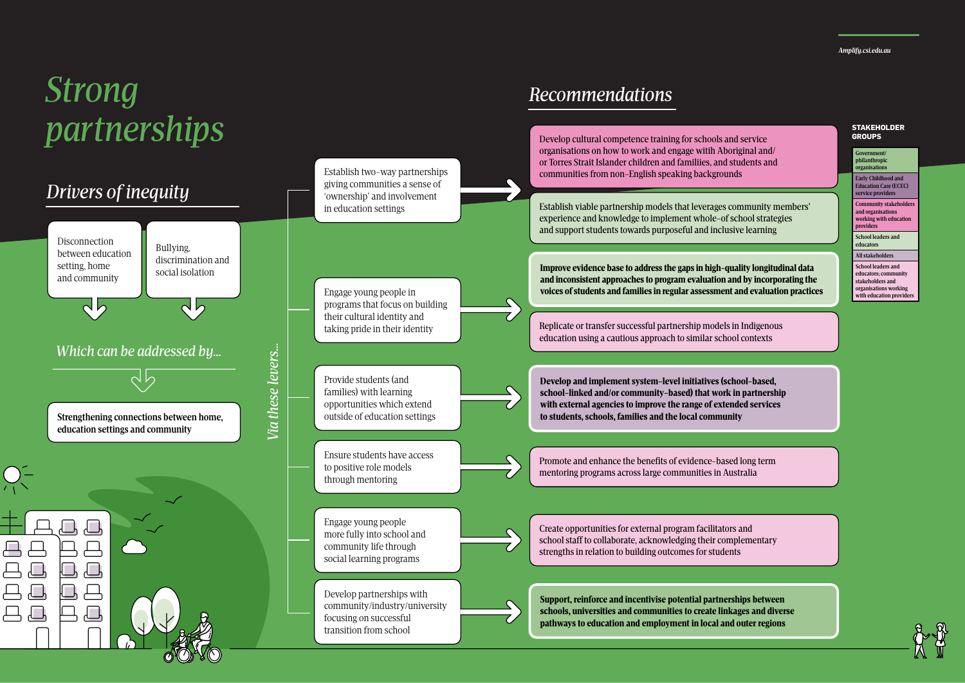*Amplify.csi.edu.au*

# *Strong partnerships*

## *Recommendations*

Develop cultural competence training for schools and service organisations on how to work and engage witih Aboriginal and/ or Torres Strait Islander children and familiies, and students and communities from non-English speaking backgrounds

Establish two-way partnerships



### **STAKEHOLDER GROUPS**

**Government/ philanthropic organisations**

**Early Childhood and Education Care (ECEC) service providers**

**Community stakeholders and organisations working with education providers**

**School leaders and educators**

**All stakeholders** 

**School leaders and educators; community stakeholders and organisations working with education providers**

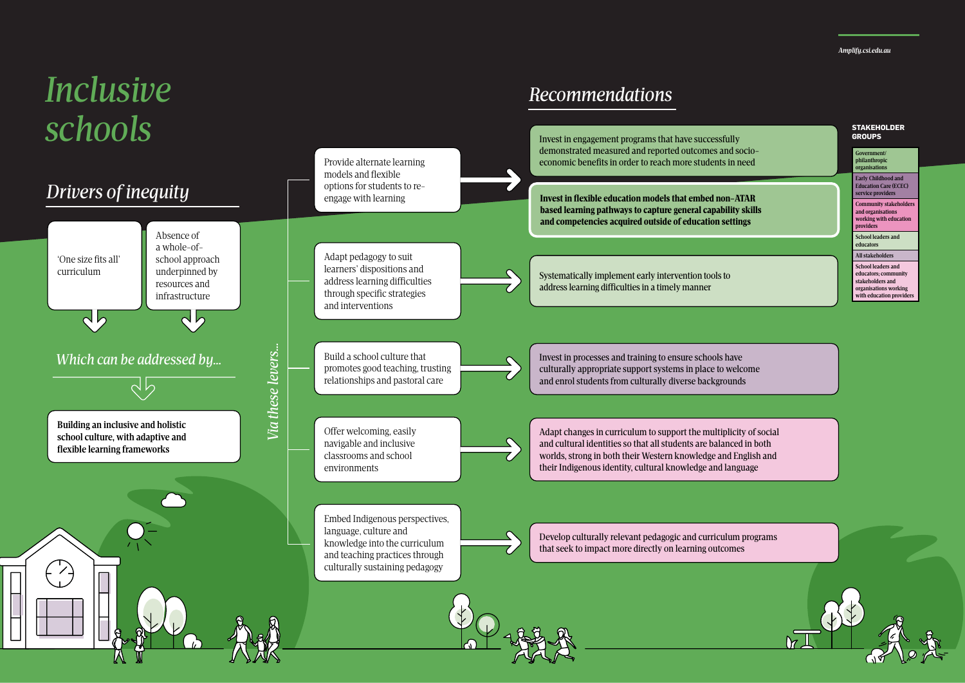*Amplify.csi.edu.au*

# *Inclusive schools*

## *Recommendations*



### **STAKEHOLDER GROUPS**

**Government/ philanthropic organisations Early Childhood and Education Care (ECEC)** 

**service providers Community stakeholders and organisations working with education providers**

**School leaders and educators**

**All stakeholders** 

**School leaders and educators; community stakeholders and organisations working with education providers**